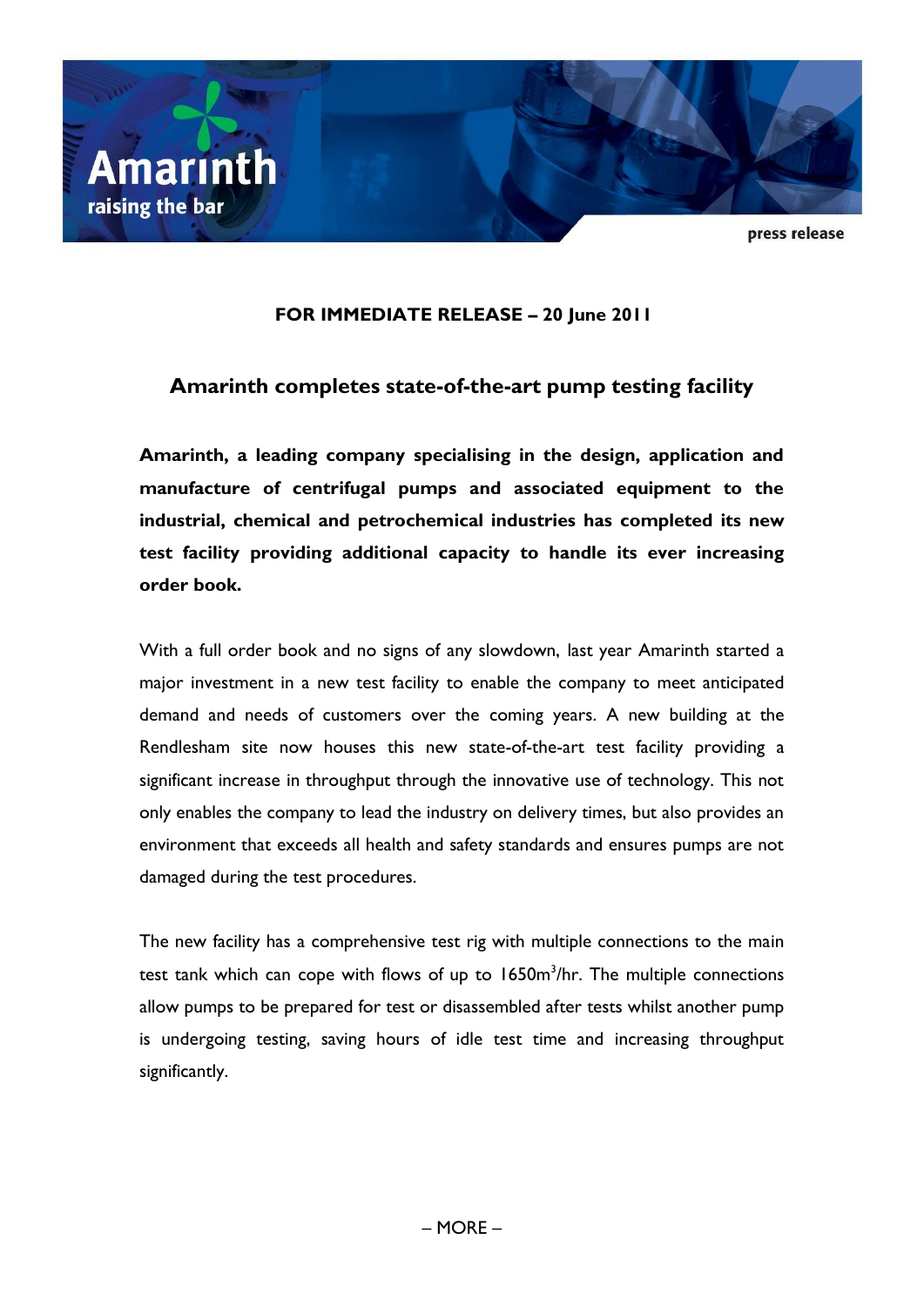

press release

## **FOR IMMEDIATE RELEASE – 20 June 2011**

# **Amarinth completes state-of-the-art pump testing facility**

**Amarinth, a leading company specialising in the design, application and manufacture of centrifugal pumps and associated equipment to the industrial, chemical and petrochemical industries has completed its new test facility providing additional capacity to handle its ever increasing order book.**

With a full order book and no signs of any slowdown, last year Amarinth started a major investment in a new test facility to enable the company to meet anticipated demand and needs of customers over the coming years. A new building at the Rendlesham site now houses this new state-of-the-art test facility providing a significant increase in throughput through the innovative use of technology. This not only enables the company to lead the industry on delivery times, but also provides an environment that exceeds all health and safety standards and ensures pumps are not damaged during the test procedures.

The new facility has a comprehensive test rig with multiple connections to the main test tank which can cope with flows of up to  $1650m^3/hr$ . The multiple connections allow pumps to be prepared for test or disassembled after tests whilst another pump is undergoing testing, saving hours of idle test time and increasing throughput significantly.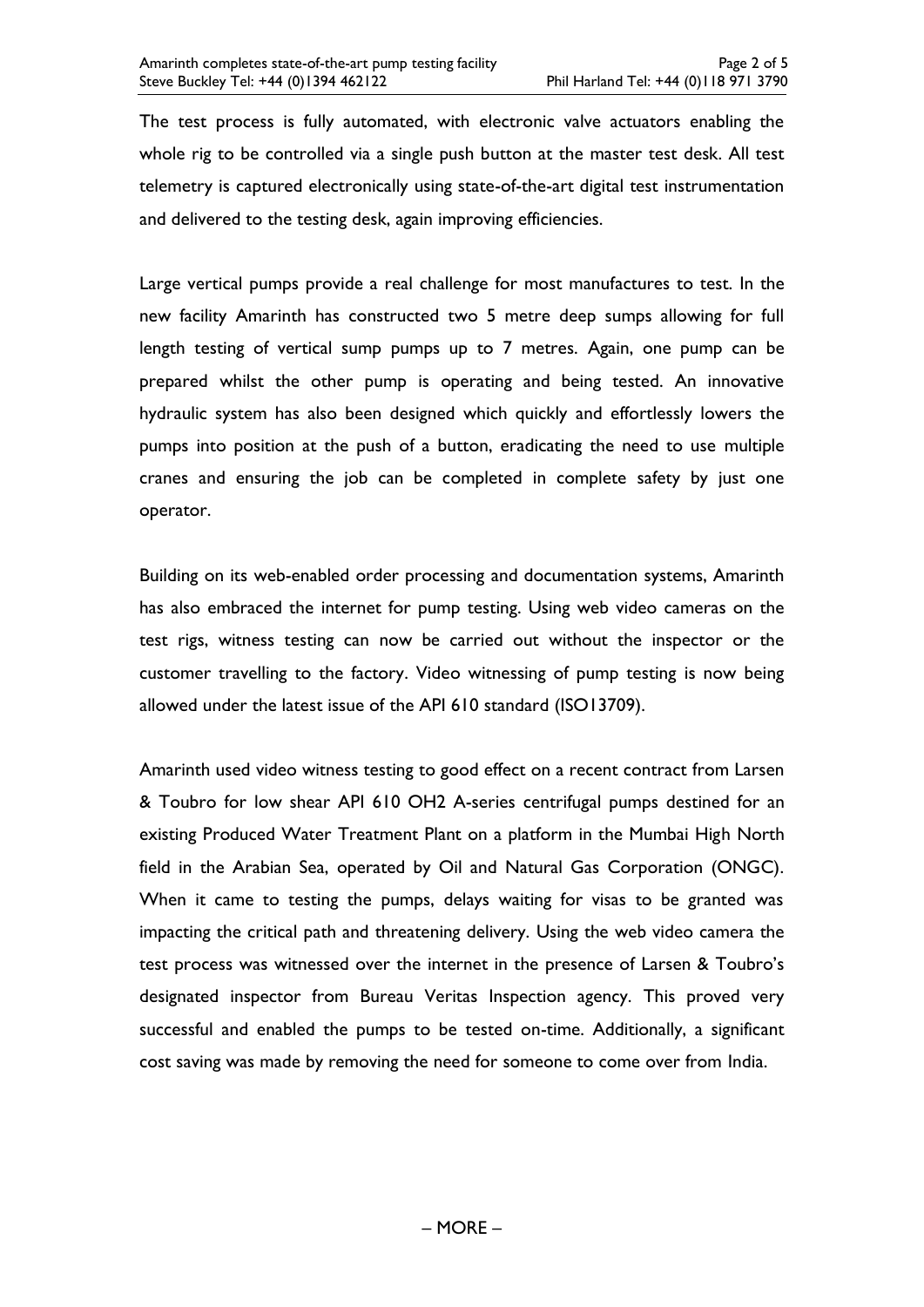The test process is fully automated, with electronic valve actuators enabling the whole rig to be controlled via a single push button at the master test desk. All test telemetry is captured electronically using state-of-the-art digital test instrumentation and delivered to the testing desk, again improving efficiencies.

Large vertical pumps provide a real challenge for most manufactures to test. In the new facility Amarinth has constructed two 5 metre deep sumps allowing for full length testing of vertical sump pumps up to 7 metres. Again, one pump can be prepared whilst the other pump is operating and being tested. An innovative hydraulic system has also been designed which quickly and effortlessly lowers the pumps into position at the push of a button, eradicating the need to use multiple cranes and ensuring the job can be completed in complete safety by just one operator.

Building on its web-enabled order processing and documentation systems, Amarinth has also embraced the internet for pump testing. Using web video cameras on the test rigs, witness testing can now be carried out without the inspector or the customer travelling to the factory. Video witnessing of pump testing is now being allowed under the latest issue of the API 610 standard (ISO13709).

Amarinth used video witness testing to good effect on a recent contract from Larsen & Toubro for low shear API 610 OH2 A-series centrifugal pumps destined for an existing Produced Water Treatment Plant on a platform in the Mumbai High North field in the Arabian Sea, operated by Oil and Natural Gas Corporation (ONGC). When it came to testing the pumps, delays waiting for visas to be granted was impacting the critical path and threatening delivery. Using the web video camera the test process was witnessed over the internet in the presence of Larsen & Toubro's designated inspector from Bureau Veritas Inspection agency. This proved very successful and enabled the pumps to be tested on-time. Additionally, a significant cost saving was made by removing the need for someone to come over from India.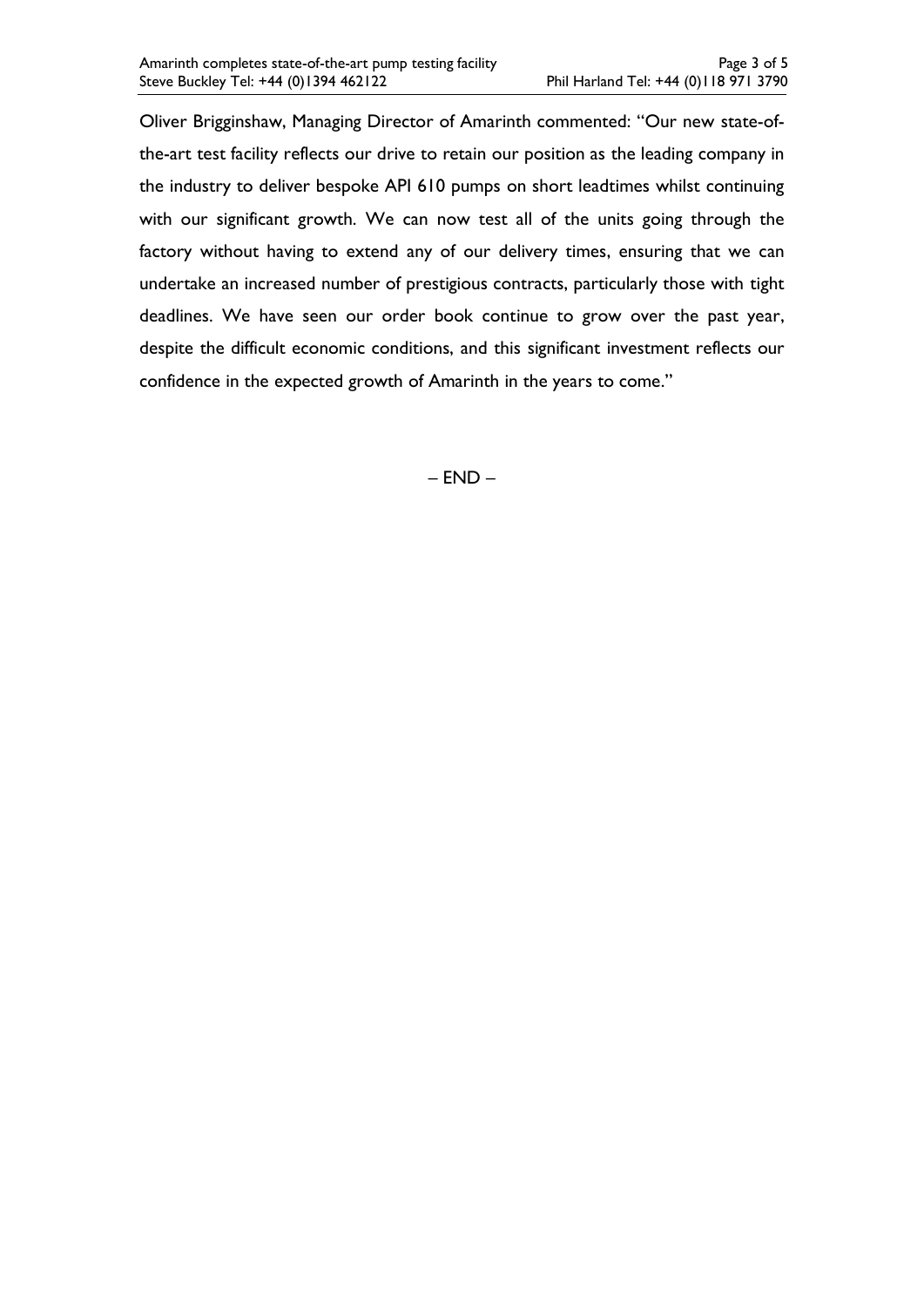Oliver Brigginshaw, Managing Director of Amarinth commented: "Our new state-ofthe-art test facility reflects our drive to retain our position as the leading company in the industry to deliver bespoke API 610 pumps on short leadtimes whilst continuing with our significant growth. We can now test all of the units going through the factory without having to extend any of our delivery times, ensuring that we can undertake an increased number of prestigious contracts, particularly those with tight deadlines. We have seen our order book continue to grow over the past year, despite the difficult economic conditions, and this significant investment reflects our confidence in the expected growth of Amarinth in the years to come."

– END –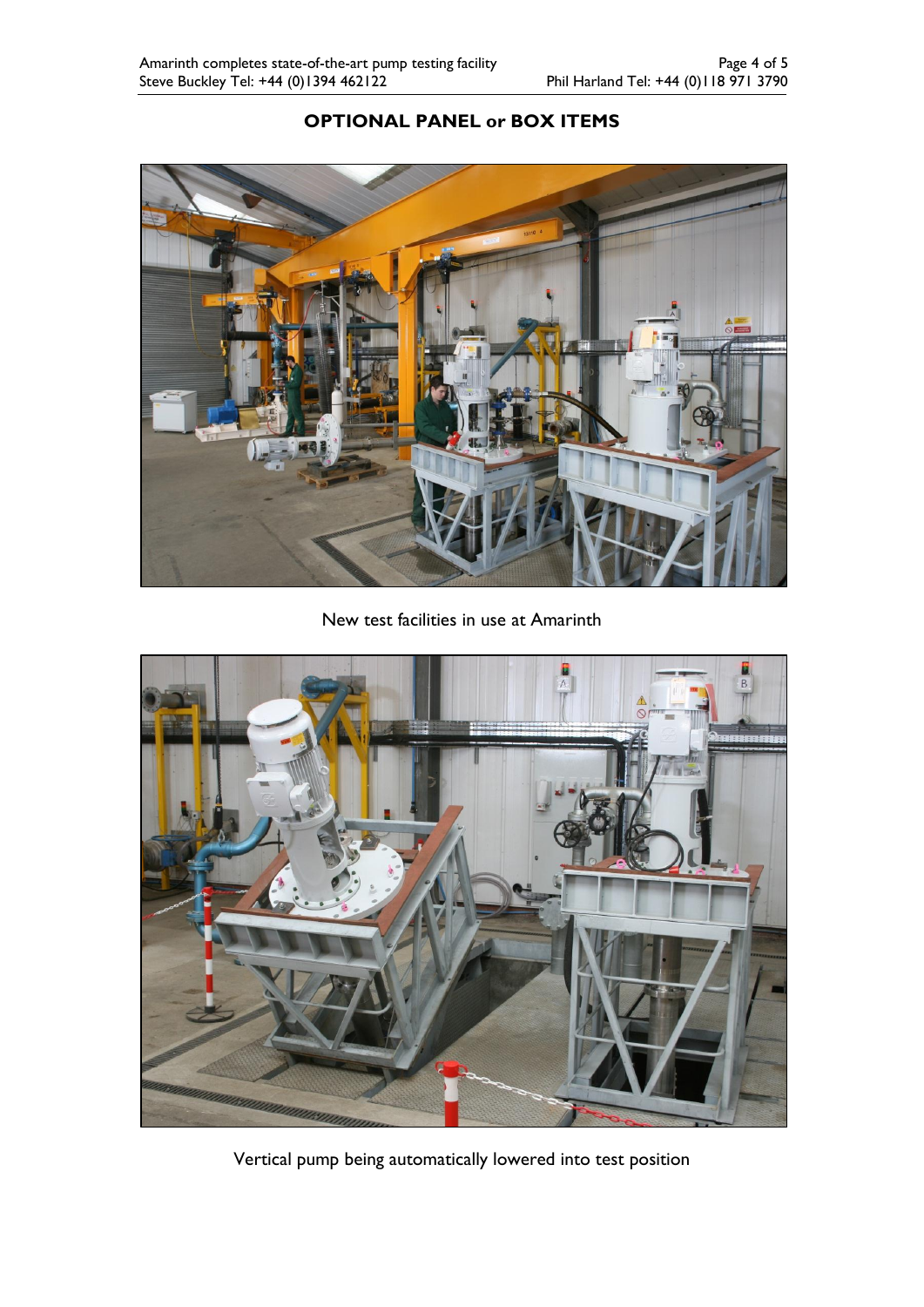# **OPTIONAL PANEL or BOX ITEMS**



New test facilities in use at Amarinth



Vertical pump being automatically lowered into test position